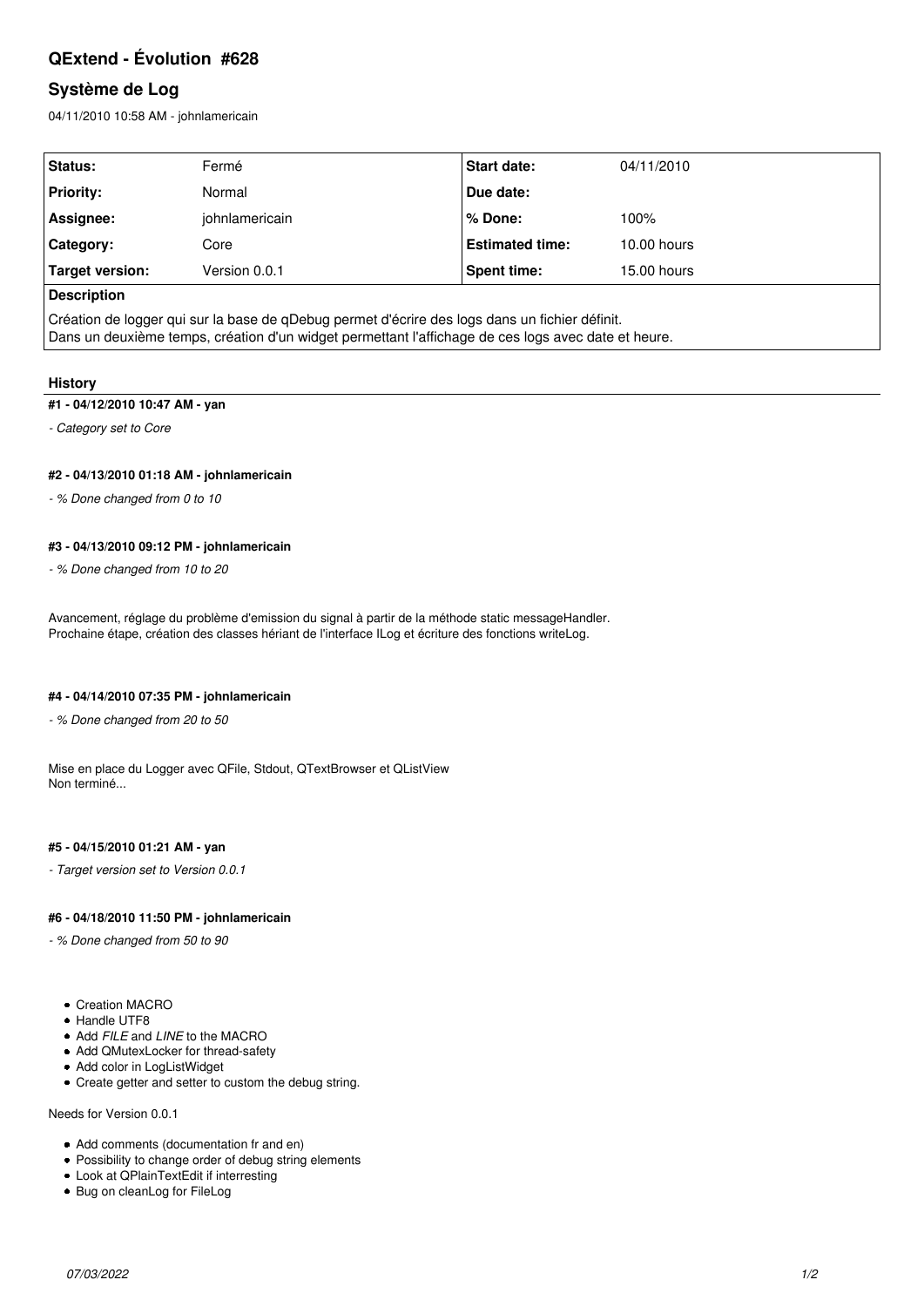# **QExtend - Évolution #628**

## **Système de Log**

04/11/2010 10:58 AM - johnlamericain

| Status:            | Fermé          | <b>Start date:</b>     | 04/11/2010  |
|--------------------|----------------|------------------------|-------------|
| <b>Priority:</b>   | Normal         | Due date:              |             |
| Assignee:          | johnlamericain | % Done:                | 100%        |
| Category:          | Core           | <b>Estimated time:</b> | 10.00 hours |
| Target version:    | Version 0.0.1  | Spent time:            | 15.00 hours |
| <b>Description</b> |                |                        |             |

Création de logger qui sur la base de qDebug permet d'écrire des logs dans un fichier définit. Dans un deuxième temps, création d'un widget permettant l'affichage de ces logs avec date et heure.

### **History**

### **#1 - 04/12/2010 10:47 AM - yan**

*- Category set to Core*

### **#2 - 04/13/2010 01:18 AM - johnlamericain**

*- % Done changed from 0 to 10*

### **#3 - 04/13/2010 09:12 PM - johnlamericain**

*- % Done changed from 10 to 20*

Avancement, réglage du problème d'emission du signal à partir de la méthode static messageHandler. Prochaine étape, création des classes hériant de l'interface ILog et écriture des fonctions writeLog.

### **#4 - 04/14/2010 07:35 PM - johnlamericain**

*- % Done changed from 20 to 50*

Mise en place du Logger avec QFile, Stdout, QTextBrowser et QListView Non terminé...

#### **#5 - 04/15/2010 01:21 AM - yan**

*- Target version set to Version 0.0.1*

### **#6 - 04/18/2010 11:50 PM - johnlamericain**

*- % Done changed from 50 to 90*

- Creation MACRO
- Handle UTF8
- Add *FILE* and *LINE* to the MACRO
- Add QMutexLocker for thread-safety
- Add color in LogListWidget
- Create getter and setter to custom the debug string.

#### Needs for Version 0.0.1

- Add comments (documentation fr and en)
- Possibility to change order of debug string elements
- Look at QPlainTextEdit if interresting
- Bug on cleanLog for FileLog